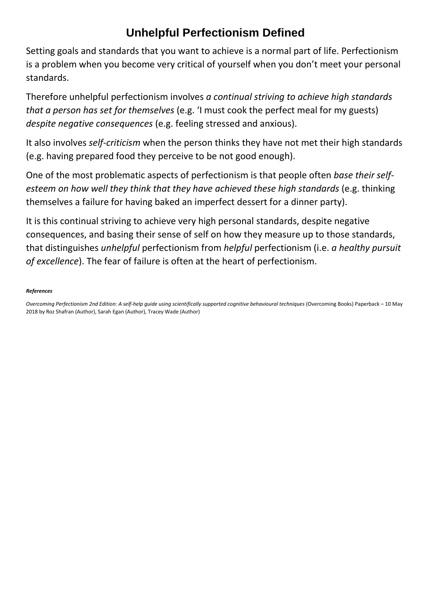## **Unhelpful Perfectionism Defined**

Setting goals and standards that you want to achieve is a normal part of life. Perfectionism is a problem when you become very critical of yourself when you don't meet your personal standards.

Therefore unhelpful perfectionism involves *a continual striving to achieve high standards that a person has set for themselves* (e.g. 'I must cook the perfect meal for my guests) *despite negative consequences* (e.g. feeling stressed and anxious).

It also involves *self-criticism* when the person thinks they have not met their high standards (e.g. having prepared food they perceive to be not good enough).

One of the most problematic aspects of perfectionism is that people often *base their selfesteem on how well they think that they have achieved these high standards* (e.g. thinking themselves a failure for having baked an imperfect dessert for a dinner party).

It is this continual striving to achieve very high personal standards, despite negative consequences, and basing their sense of self on how they measure up to those standards, that distinguishes *unhelpful* perfectionism from *helpful* perfectionism (i.e. *a healthy pursuit of excellence*). The fear of failure is often at the heart of perfectionism.

## *References*

*Overcoming Perfectionism 2nd Edition: A self-help guide using scientifically supported cognitive behavioural techniques* (Overcoming Books) Paperback – 10 May 2018 by Roz Shafran (Author), Sarah Egan (Author), Tracey Wade (Author)